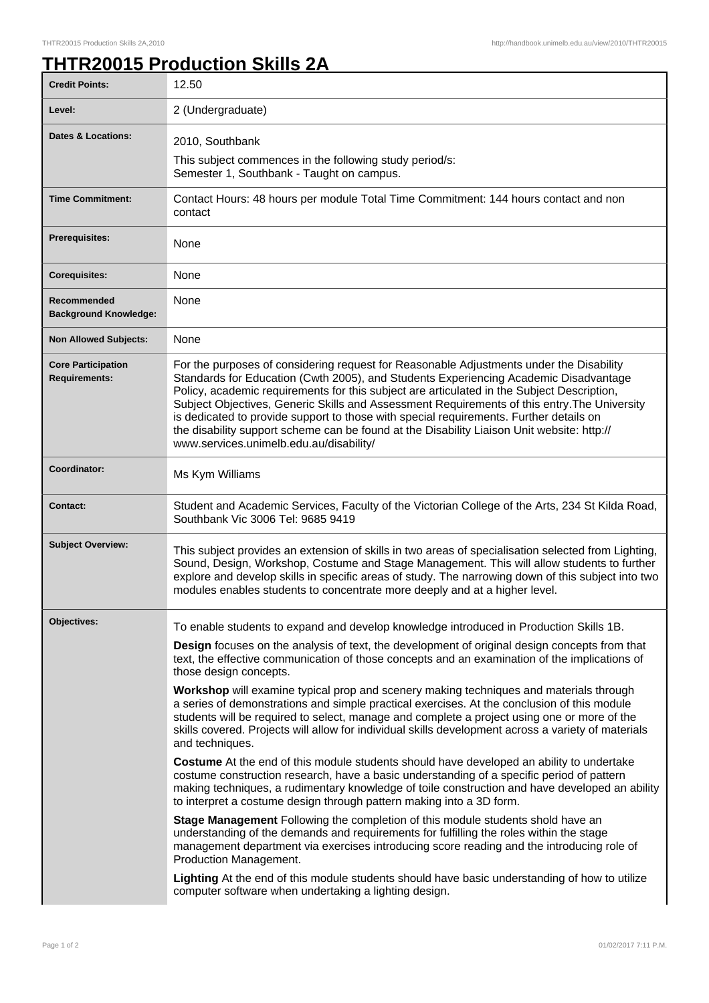## **THTR20015 Production Skills 2A**

| <b>Credit Points:</b>                             | 12.50                                                                                                                                                                                                                                                                                                                                                                                                                                                                                                                                                                                                            |
|---------------------------------------------------|------------------------------------------------------------------------------------------------------------------------------------------------------------------------------------------------------------------------------------------------------------------------------------------------------------------------------------------------------------------------------------------------------------------------------------------------------------------------------------------------------------------------------------------------------------------------------------------------------------------|
| Level:                                            | 2 (Undergraduate)                                                                                                                                                                                                                                                                                                                                                                                                                                                                                                                                                                                                |
| <b>Dates &amp; Locations:</b>                     | 2010, Southbank<br>This subject commences in the following study period/s:<br>Semester 1, Southbank - Taught on campus.                                                                                                                                                                                                                                                                                                                                                                                                                                                                                          |
| <b>Time Commitment:</b>                           | Contact Hours: 48 hours per module Total Time Commitment: 144 hours contact and non<br>contact                                                                                                                                                                                                                                                                                                                                                                                                                                                                                                                   |
| <b>Prerequisites:</b>                             | None                                                                                                                                                                                                                                                                                                                                                                                                                                                                                                                                                                                                             |
| <b>Corequisites:</b>                              | None                                                                                                                                                                                                                                                                                                                                                                                                                                                                                                                                                                                                             |
| Recommended<br><b>Background Knowledge:</b>       | None                                                                                                                                                                                                                                                                                                                                                                                                                                                                                                                                                                                                             |
| <b>Non Allowed Subjects:</b>                      | None                                                                                                                                                                                                                                                                                                                                                                                                                                                                                                                                                                                                             |
| <b>Core Participation</b><br><b>Requirements:</b> | For the purposes of considering request for Reasonable Adjustments under the Disability<br>Standards for Education (Cwth 2005), and Students Experiencing Academic Disadvantage<br>Policy, academic requirements for this subject are articulated in the Subject Description,<br>Subject Objectives, Generic Skills and Assessment Requirements of this entry. The University<br>is dedicated to provide support to those with special requirements. Further details on<br>the disability support scheme can be found at the Disability Liaison Unit website: http://<br>www.services.unimelb.edu.au/disability/ |
| Coordinator:                                      | Ms Kym Williams                                                                                                                                                                                                                                                                                                                                                                                                                                                                                                                                                                                                  |
| <b>Contact:</b>                                   | Student and Academic Services, Faculty of the Victorian College of the Arts, 234 St Kilda Road,<br>Southbank Vic 3006 Tel: 9685 9419                                                                                                                                                                                                                                                                                                                                                                                                                                                                             |
| <b>Subject Overview:</b>                          | This subject provides an extension of skills in two areas of specialisation selected from Lighting,<br>Sound, Design, Workshop, Costume and Stage Management. This will allow students to further<br>explore and develop skills in specific areas of study. The narrowing down of this subject into two<br>modules enables students to concentrate more deeply and at a higher level.                                                                                                                                                                                                                            |
| Objectives:                                       | To enable students to expand and develop knowledge introduced in Production Skills 1B.                                                                                                                                                                                                                                                                                                                                                                                                                                                                                                                           |
|                                                   | Design focuses on the analysis of text, the development of original design concepts from that<br>text, the effective communication of those concepts and an examination of the implications of<br>those design concepts.                                                                                                                                                                                                                                                                                                                                                                                         |
|                                                   | Workshop will examine typical prop and scenery making techniques and materials through<br>a series of demonstrations and simple practical exercises. At the conclusion of this module<br>students will be required to select, manage and complete a project using one or more of the<br>skills covered. Projects will allow for individual skills development across a variety of materials<br>and techniques.                                                                                                                                                                                                   |
|                                                   | Costume At the end of this module students should have developed an ability to undertake<br>costume construction research, have a basic understanding of a specific period of pattern<br>making techniques, a rudimentary knowledge of toile construction and have developed an ability<br>to interpret a costume design through pattern making into a 3D form.                                                                                                                                                                                                                                                  |
|                                                   | Stage Management Following the completion of this module students shold have an<br>understanding of the demands and requirements for fulfilling the roles within the stage<br>management department via exercises introducing score reading and the introducing role of<br>Production Management.                                                                                                                                                                                                                                                                                                                |
|                                                   | Lighting At the end of this module students should have basic understanding of how to utilize<br>computer software when undertaking a lighting design.                                                                                                                                                                                                                                                                                                                                                                                                                                                           |